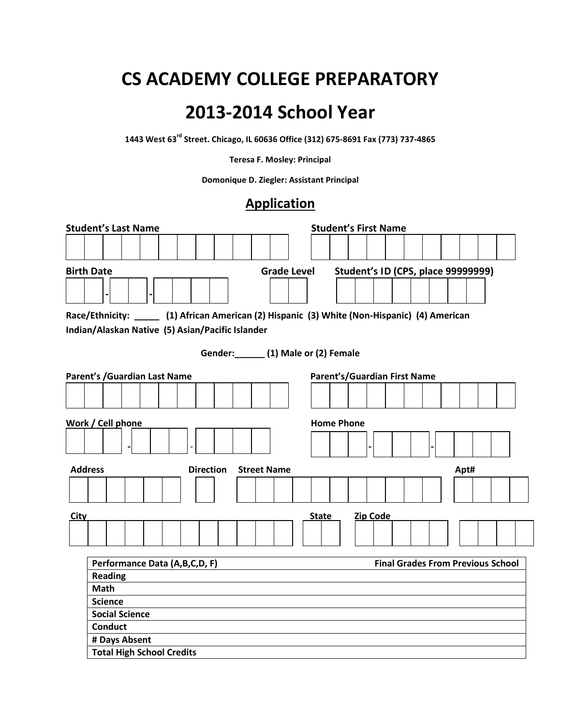## **CS ACADEMY COLLEGE PREPARATORY**

## **2013-2014 School Year**

**1443 West 63rd Street. Chicago, IL 60636 Office (312) 675-8691 Fax (773) 737-4865**

**Teresa F. Mosley: Principal**

**Domonique D. Ziegler: Assistant Principal** 

## **Application**

|                   | <b>Student's Last Name</b>                                                                    |  |                  |  |                                | <b>Student's First Name</b>  |                 |                                          |  |      |  |
|-------------------|-----------------------------------------------------------------------------------------------|--|------------------|--|--------------------------------|------------------------------|-----------------|------------------------------------------|--|------|--|
|                   |                                                                                               |  |                  |  |                                |                              |                 |                                          |  |      |  |
|                   |                                                                                               |  |                  |  |                                |                              |                 |                                          |  |      |  |
| <b>Birth Date</b> |                                                                                               |  |                  |  | <b>Grade Level</b>             |                              |                 | Student's ID (CPS, place 99999999)       |  |      |  |
|                   |                                                                                               |  |                  |  |                                |                              |                 |                                          |  |      |  |
|                   | Race/Ethnicity: _____ (1) African American (2) Hispanic (3) White (Non-Hispanic) (4) American |  |                  |  |                                |                              |                 |                                          |  |      |  |
|                   | Indian/Alaskan Native (5) Asian/Pacific Islander                                              |  |                  |  |                                |                              |                 |                                          |  |      |  |
|                   |                                                                                               |  |                  |  |                                |                              |                 |                                          |  |      |  |
|                   |                                                                                               |  |                  |  | Gender: (1) Male or (2) Female |                              |                 |                                          |  |      |  |
|                   | Parent's / Guardian Last Name                                                                 |  |                  |  |                                | Parent's/Guardian First Name |                 |                                          |  |      |  |
|                   |                                                                                               |  |                  |  |                                |                              |                 |                                          |  |      |  |
|                   |                                                                                               |  |                  |  |                                |                              |                 |                                          |  |      |  |
|                   |                                                                                               |  |                  |  |                                |                              |                 |                                          |  |      |  |
| <b>Address</b>    |                                                                                               |  | <b>Direction</b> |  | <b>Street Name</b>             |                              |                 |                                          |  | Apt# |  |
|                   |                                                                                               |  |                  |  |                                |                              |                 |                                          |  |      |  |
|                   |                                                                                               |  |                  |  |                                |                              |                 |                                          |  |      |  |
| City              |                                                                                               |  |                  |  |                                | <b>State</b>                 | <b>Zip Code</b> |                                          |  |      |  |
|                   |                                                                                               |  |                  |  |                                |                              |                 |                                          |  |      |  |
|                   |                                                                                               |  |                  |  |                                |                              |                 |                                          |  |      |  |
|                   | Performance Data (A,B,C,D, F)                                                                 |  |                  |  |                                |                              |                 | <b>Final Grades From Previous School</b> |  |      |  |
|                   | <b>Reading</b>                                                                                |  |                  |  |                                |                              |                 |                                          |  |      |  |
|                   | Math                                                                                          |  |                  |  |                                |                              |                 |                                          |  |      |  |
|                   | <b>Science</b>                                                                                |  |                  |  |                                |                              |                 |                                          |  |      |  |
|                   | <b>Social Science</b>                                                                         |  |                  |  |                                |                              |                 |                                          |  |      |  |
|                   | <b>Conduct</b>                                                                                |  |                  |  |                                |                              |                 |                                          |  |      |  |
|                   | # Days Absent                                                                                 |  |                  |  |                                |                              |                 |                                          |  |      |  |
|                   | <b>Total High School Credits</b>                                                              |  |                  |  |                                |                              |                 |                                          |  |      |  |